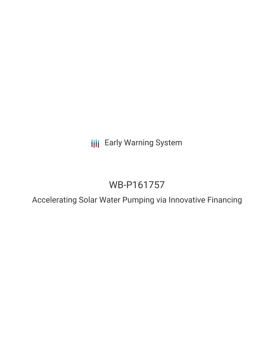**III** Early Warning System

## WB-P161757

Accelerating Solar Water Pumping via Innovative Financing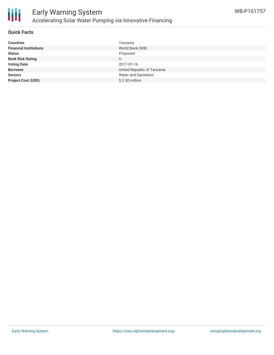

#### **Quick Facts**

| Tanzania<br><b>Countries</b>                     |  |
|--------------------------------------------------|--|
| World Bank (WB)<br><b>Financial Institutions</b> |  |
| Proposed<br><b>Status</b>                        |  |
| <b>Bank Risk Rating</b><br>U                     |  |
| <b>Voting Date</b><br>2017-01-16                 |  |
| United Republic of Tanzania<br><b>Borrower</b>   |  |
| Water and Sanitation<br><b>Sectors</b>           |  |
| $$2.50$ million<br><b>Project Cost (USD)</b>     |  |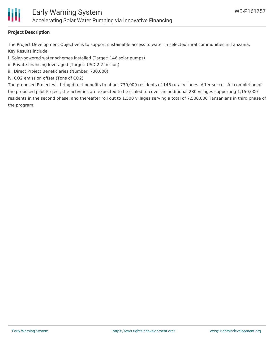

#### **Project Description**

The Project Development Objective is to support sustainable access to water in selected rural communities in Tanzania. Key Results include;

i. Solar-powered water schemes installed (Target: 146 solar pumps)

ii. Private financing leveraged (Target: USD 2.2 million)

iii. Direct Project Beneficiaries (Number: 730,000)

iv. CO2 emission offset (Tons of CO2)

The proposed Project will bring direct benefits to about 730,000 residents of 146 rural villages. After successful completion of the proposed pilot Project, the activities are expected to be scaled to cover an additional 230 villages supporting 1,150,000 residents in the second phase, and thereafter roll out to 1,500 villages serving a total of 7,500,000 Tanzanians in third phase of the program.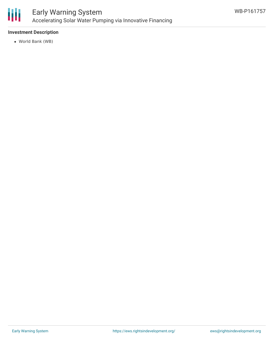

#### **Investment Description**

World Bank (WB)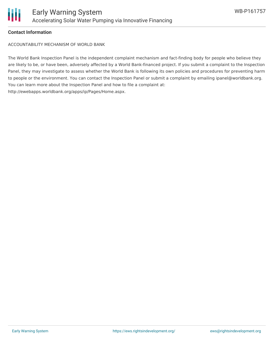

#### **Contact Information**

ACCOUNTABILITY MECHANISM OF WORLD BANK

The World Bank Inspection Panel is the independent complaint mechanism and fact-finding body for people who believe they are likely to be, or have been, adversely affected by a World Bank-financed project. If you submit a complaint to the Inspection Panel, they may investigate to assess whether the World Bank is following its own policies and procedures for preventing harm to people or the environment. You can contact the Inspection Panel or submit a complaint by emailing ipanel@worldbank.org. You can learn more about the Inspection Panel and how to file a complaint at: http://ewebapps.worldbank.org/apps/ip/Pages/Home.aspx.